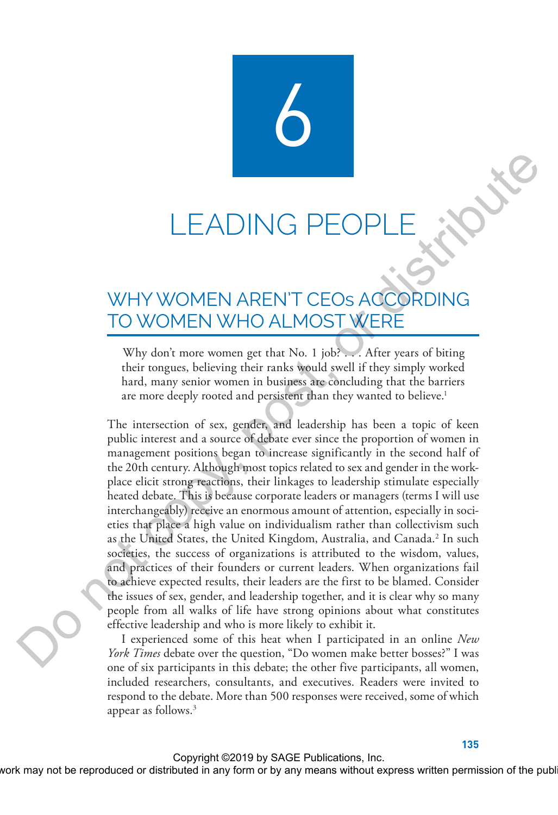# LEADING F

6

## WHY WOMEN AREN'T CEOs ACCORDING TO WOMEN WHO ALMOST WERE

Why don't more women get that No. 1 job? . . . After years of biting their tongues, believing their ranks would swell if they simply worked hard, many senior women in business are concluding that the barriers are more deeply rooted and persistent than they wanted to believe.<sup>1</sup>

The intersection of sex, gender, and leadership has been a topic of keen public interest and a source of debate ever since the proportion of women in management positions began to increase significantly in the second half of the 20th century. Although most topics related to sex and gender in the workplace elicit strong reactions, their linkages to leadership stimulate especially heated debate. This is because corporate leaders or managers (terms I will use interchangeably) receive an enormous amount of attention, especially in societies that place a high value on individualism rather than collectivism such as the United States, the United Kingdom, Australia, and Canada.<sup>2</sup> In such societies, the success of organizations is attributed to the wisdom, values, and practices of their founders or current leaders. When organizations fail to achieve expected results, their leaders are the first to be blamed. Consider the issues of sex, gender, and leadership together, and it is clear why so many people from all walks of life have strong opinions about what constitutes effective leadership and who is more likely to exhibit it. LEADING PEOPLE<br>
WHY WOMEN WHO ALMOST WERE<br>
TWP was made that we represent the result of the publisher and the publisher and the result of the publisher and the publisher and the publisher. The intersection of sex, eggates

I experienced some of this heat when I participated in an online *New York Times* debate over the question, "Do women make better bosses?" I was one of six participants in this debate; the other five participants, all women, included researchers, consultants, and executives. Readers were invited to respond to the debate. More than 500 responses were received, some of which appear as follows.<sup>3</sup>

**135**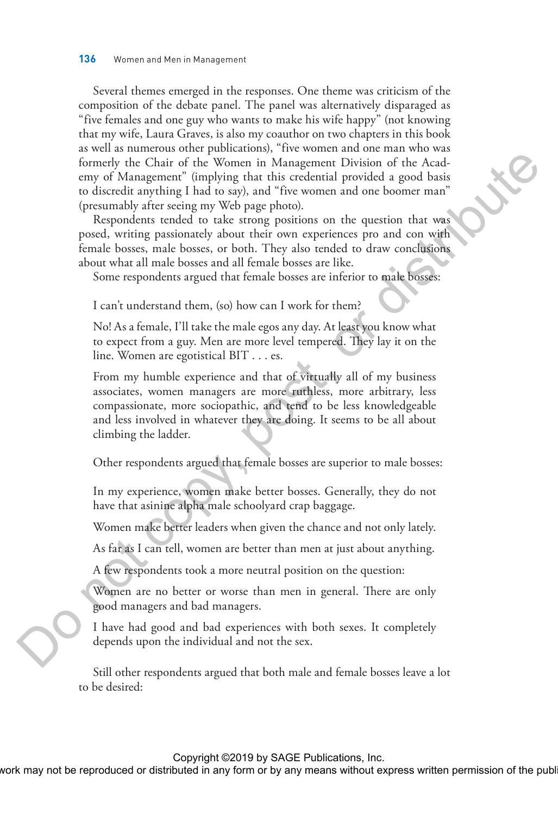Several themes emerged in the responses. One theme was criticism of the composition of the debate panel. The panel was alternatively disparaged as "five females and one guy who wants to make his wife happy" (not knowing that my wife, Laura Graves, is also my coauthor on two chapters in this book as well as numerous other publications), "five women and one man who was formerly the Chair of the Women in Management Division of the Academy of Management" (implying that this credential provided a good basis to discredit anything I had to say), and "five women and one boomer man" (presumably after seeing my Web page photo).

Respondents tended to take strong positions on the question that was posed, writing passionately about their own experiences pro and con with female bosses, male bosses, or both. They also tended to draw conclusions about what all male bosses and all female bosses are like.

Some respondents argued that female bosses are inferior to male bosses:

I can't understand them, (so) how can I work for them?

No! As a female, I'll take the male egos any day. At least you know what to expect from a guy. Men are more level tempered. They lay it on the line. Women are egotistical BIT . . . es.

From my humble experience and that of virtually all of my business associates, women managers are more ruthless, more arbitrary, less compassionate, more sociopathic, and tend to be less knowledgeable and less involved in whatever they are doing. It seems to be all about climbing the ladder. From the rest may not be reproduced or distribution of the Academic Division of the Academic properties any the rest rest produced in a subject of the section of the section of the publisher. This conclusion of the publis

Other respondents argued that female bosses are superior to male bosses:

In my experience, women make better bosses. Generally, they do not have that asinine alpha male schoolyard crap baggage.

Women make better leaders when given the chance and not only lately.

As far as I can tell, women are better than men at just about anything.

A few respondents took a more neutral position on the question:

Women are no better or worse than men in general. There are only good managers and bad managers.

I have had good and bad experiences with both sexes. It completely depends upon the individual and not the sex.

Still other respondents argued that both male and female bosses leave a lot to be desired: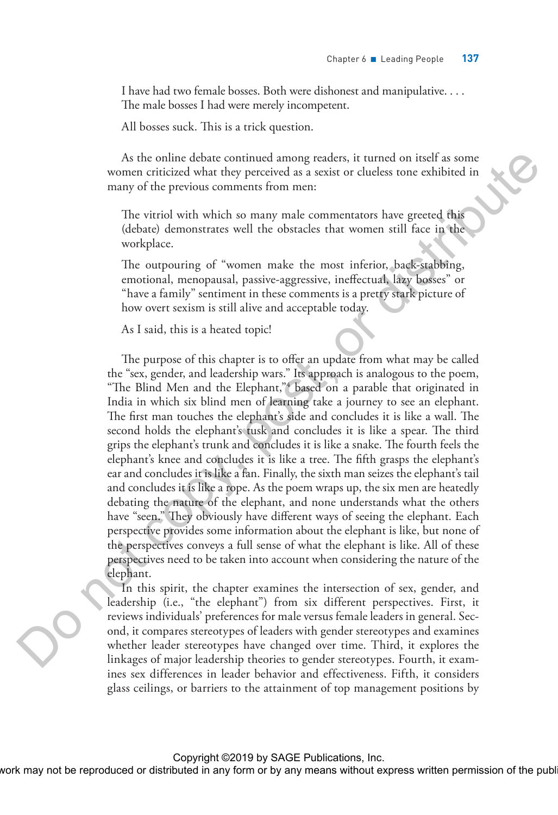I have had two female bosses. Both were dishonest and manipulative. . . . The male bosses I had were merely incompetent.

All bosses suck. This is a trick question.

As the online debate continued among readers, it turned on itself as some women criticized what they perceived as a sexist or clueless tone exhibited in many of the previous comments from men:

The vitriol with which so many male commentators have greeted this (debate) demonstrates well the obstacles that women still face in the workplace.

The outpouring of "women make the most inferior, back-stabbing, emotional, menopausal, passive-aggressive, ineffectual, lazy bosses" or "have a family" sentiment in these comments is a pretty stark picture of how overt sexism is still alive and acceptable today.

As I said, this is a heated topic!

The purpose of this chapter is to offer an update from what may be called the "sex, gender, and leadership wars." Its approach is analogous to the poem, "The Blind Men and the Elephant,"4 based on a parable that originated in India in which six blind men of learning take a journey to see an elephant. The first man touches the elephant's side and concludes it is like a wall. The second holds the elephant's tusk and concludes it is like a spear. The third grips the elephant's trunk and concludes it is like a snake. The fourth feels the elephant's knee and concludes it is like a tree. The fifth grasps the elephant's ear and concludes it is like a fan. Finally, the sixth man seizes the elephant's tail and concludes it is like a rope. As the poem wraps up, the six men are heatedly debating the nature of the elephant, and none understands what the others have "seen." They obviously have different ways of seeing the elephant. Each perspective provides some information about the elephant is like, but none of the perspectives conveys a full sense of what the elephant is like. All of these perspectives need to be taken into account when considering the nature of the elephant. As the online debate continued arong readers is turned to inself as tomos<br>
worker may not be reproduced or distributed in any means were precised or distributed in the reproduced or distributed in the may make turned in t

In this spirit, the chapter examines the intersection of sex, gender, and leadership (i.e., "the elephant") from six different perspectives. First, it reviews individuals' preferences for male versus female leaders in general. Second, it compares stereotypes of leaders with gender stereotypes and examines whether leader stereotypes have changed over time. Third, it explores the linkages of major leadership theories to gender stereotypes. Fourth, it examines sex differences in leader behavior and effectiveness. Fifth, it considers glass ceilings, or barriers to the attainment of top management positions by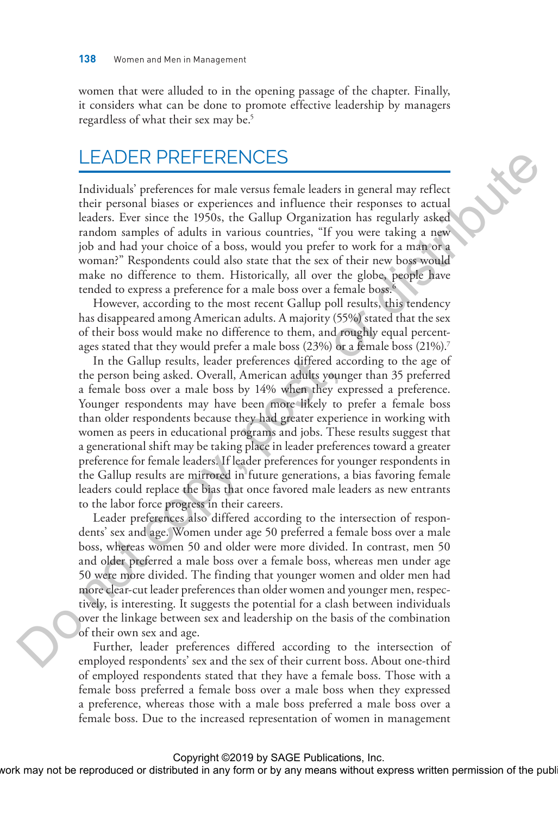women that were alluded to in the opening passage of the chapter. Finally, it considers what can be done to promote effective leadership by managers regardless of what their sex may be.5

#### LEADER PREFERENCES

Individuals' preferences for male versus female leaders in general may reflect their personal biases or experiences and influence their responses to actual leaders. Ever since the 1950s, the Gallup Organization has regularly asked random samples of adults in various countries, "If you were taking a new job and had your choice of a boss, would you prefer to work for a man or a woman?" Respondents could also state that the sex of their new boss would make no difference to them. Historically, all over the globe, people have tended to express a preference for a male boss over a female boss.<sup>6</sup>

However, according to the most recent Gallup poll results, this tendency has disappeared among American adults. A majority (55%) stated that the sex of their boss would make no difference to them, and roughly equal percentages stated that they would prefer a male boss (23%) or a female boss (21%).7

In the Gallup results, leader preferences differed according to the age of the person being asked. Overall, American adults younger than 35 preferred a female boss over a male boss by 14% when they expressed a preference. Younger respondents may have been more likely to prefer a female boss than older respondents because they had greater experience in working with women as peers in educational programs and jobs. These results suggest that a generational shift may be taking place in leader preferences toward a greater preference for female leaders. If leader preferences for younger respondents in the Gallup results are mirrored in future generations, a bias favoring female leaders could replace the bias that once favored male leaders as new entrants to the labor force progress in their careers. LEADER PREFERENT CES<br>
Inividual proferences for male versus formal density in a general may reflect their personal bisses or experiences and influence their repronses to secure<br>
leaders from the representation and the res

Leader preferences also differed according to the intersection of respondents' sex and age. Women under age 50 preferred a female boss over a male boss, whereas women 50 and older were more divided. In contrast, men 50 and older preferred a male boss over a female boss, whereas men under age 50 were more divided. The finding that younger women and older men had more clear-cut leader preferences than older women and younger men, respectively, is interesting. It suggests the potential for a clash between individuals over the linkage between sex and leadership on the basis of the combination of their own sex and age.

Further, leader preferences differed according to the intersection of employed respondents' sex and the sex of their current boss. About one-third of employed respondents stated that they have a female boss. Those with a female boss preferred a female boss over a male boss when they expressed a preference, whereas those with a male boss preferred a male boss over a female boss. Due to the increased representation of women in management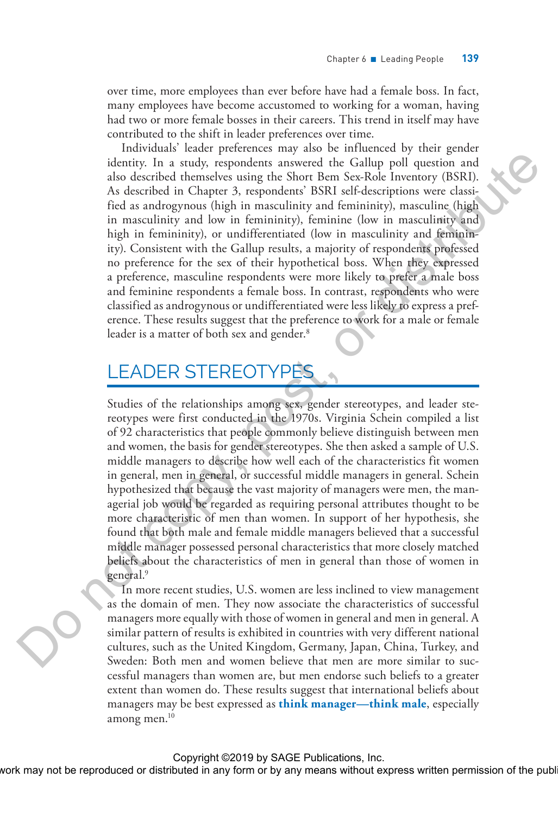over time, more employees than ever before have had a female boss. In fact, many employees have become accustomed to working for a woman, having had two or more female bosses in their careers. This trend in itself may have contributed to the shift in leader preferences over time.

Individuals' leader preferences may also be influenced by their gender identity. In a study, respondents answered the Gallup poll question and also described themselves using the Short Bem Sex-Role Inventory (BSRI). As described in Chapter 3, respondents' BSRI self-descriptions were classified as androgynous (high in masculinity and femininity), masculine (high in masculinity and low in femininity), feminine (low in masculinity and high in femininity), or undifferentiated (low in masculinity and femininity). Consistent with the Gallup results, a majority of respondents professed no preference for the sex of their hypothetical boss. When they expressed a preference, masculine respondents were more likely to prefer a male boss and feminine respondents a female boss. In contrast, respondents who were classified as androgynous or undifferentiated were less likely to express a preference. These results suggest that the preference to work for a male or female leader is a matter of both sex and gender.<sup>8</sup> Hentity. In a smooth specifically considered in the control or by any means with the relationship and the resulting or the second or the publisher. Also the state of the publisher in the state of the publisher in the stat

#### LEADER STEREOTYPES

Studies of the relationships among sex, gender stereotypes, and leader stereotypes were first conducted in the 1970s. Virginia Schein compiled a list of 92 characteristics that people commonly believe distinguish between men and women, the basis for gender stereotypes. She then asked a sample of U.S. middle managers to describe how well each of the characteristics fit women in general, men in general, or successful middle managers in general. Schein hypothesized that because the vast majority of managers were men, the managerial job would be regarded as requiring personal attributes thought to be more characteristic of men than women. In support of her hypothesis, she found that both male and female middle managers believed that a successful middle manager possessed personal characteristics that more closely matched beliefs about the characteristics of men in general than those of women in general.<sup>9</sup>

In more recent studies, U.S. women are less inclined to view management as the domain of men. They now associate the characteristics of successful managers more equally with those of women in general and men in general. A similar pattern of results is exhibited in countries with very different national cultures, such as the United Kingdom, Germany, Japan, China, Turkey, and Sweden: Both men and women believe that men are more similar to successful managers than women are, but men endorse such beliefs to a greater extent than women do. These results suggest that international beliefs about managers may be best expressed as **think manager—think male**, especially among men.<sup>10</sup>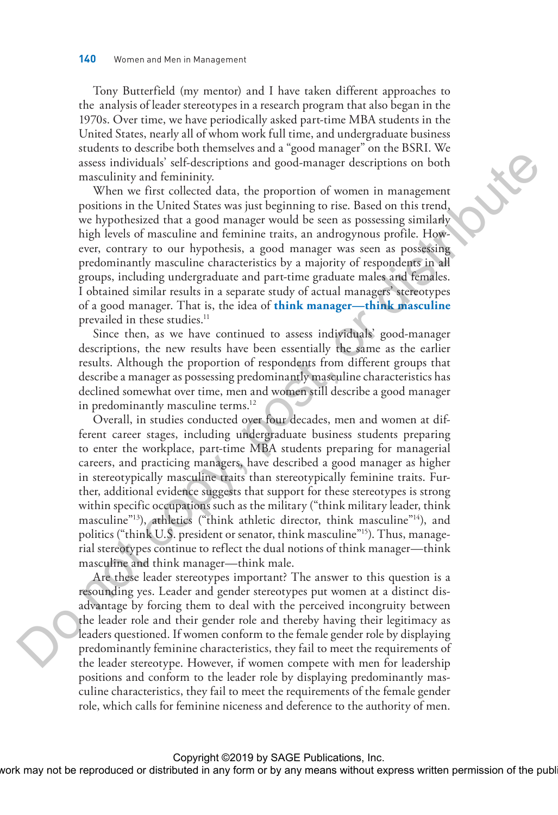Tony Butterfield (my mentor) and I have taken different approaches to the analysis of leader stereotypes in a research program that also began in the 1970s. Over time, we have periodically asked part-time MBA students in the United States, nearly all of whom work full time, and undergraduate business students to describe both themselves and a "good manager" on the BSRI. We assess individuals' self-descriptions and good-manager descriptions on both masculinity and femininity.

When we first collected data, the proportion of women in management positions in the United States was just beginning to rise. Based on this trend, we hypothesized that a good manager would be seen as possessing similarly high levels of masculine and feminine traits, an androgynous profile. However, contrary to our hypothesis, a good manager was seen as possessing predominantly masculine characteristics by a majority of respondents in all groups, including undergraduate and part-time graduate males and females. I obtained similar results in a separate study of actual managers' stereotypes of a good manager. That is, the idea of **think manager—think masculine** prevailed in these studies.<sup>11</sup>

Since then, as we have continued to assess individuals' good-manager descriptions, the new results have been essentially the same as the earlier results. Although the proportion of respondents from different groups that describe a manager as possessing predominantly masculine characteristics has declined somewhat over time, men and women still describe a good manager in predominantly masculine terms.<sup>12</sup>

Overall, in studies conducted over four decades, men and women at different career stages, including undergraduate business students preparing to enter the workplace, part-time MBA students preparing for managerial careers, and practicing managers, have described a good manager as higher in stereotypically masculine traits than stereotypically feminine traits. Further, additional evidence suggests that support for these stereotypes is strong within specific occupations such as the military ("think military leader, think masculine"<sup>13</sup>), athletics ("think athletic director, think masculine"<sup>14</sup>), and politics ("think U.S. president or senator, think masculine"15). Thus, managerial stereotypes continue to reflect the dual notions of think manager—think masculine and think manager—think male. asses individuals with distributed or distributed or distributed or distributed or distributed in the reproduced of the reproduced or distributed in any form or by any means would be a<br>surrange to represent the publisher

Are these leader stereotypes important? The answer to this question is a resounding yes. Leader and gender stereotypes put women at a distinct disadvantage by forcing them to deal with the perceived incongruity between the leader role and their gender role and thereby having their legitimacy as leaders questioned. If women conform to the female gender role by displaying predominantly feminine characteristics, they fail to meet the requirements of the leader stereotype. However, if women compete with men for leadership positions and conform to the leader role by displaying predominantly masculine characteristics, they fail to meet the requirements of the female gender role, which calls for feminine niceness and deference to the authority of men.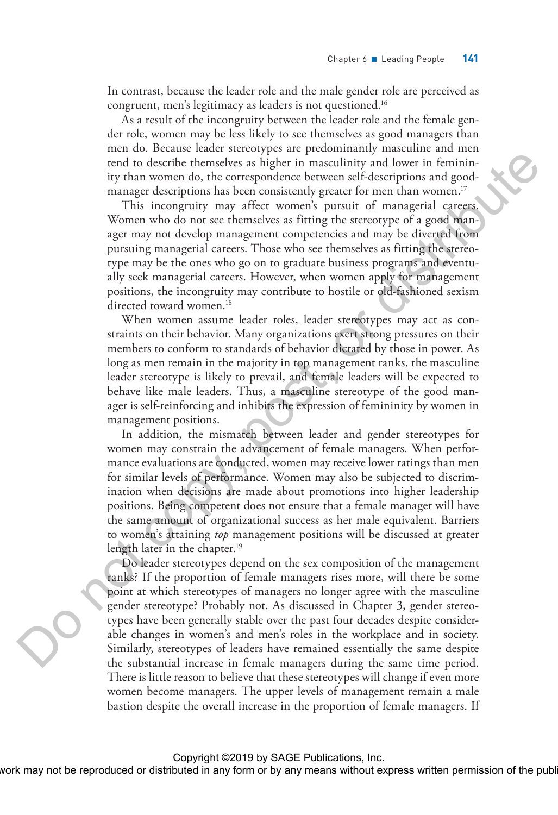In contrast, because the leader role and the male gender role are perceived as congruent, men's legitimacy as leaders is not questioned.16

As a result of the incongruity between the leader role and the female gender role, women may be less likely to see themselves as good managers than men do. Because leader stereotypes are predominantly masculine and men tend to describe themselves as higher in masculinity and lower in femininity than women do, the correspondence between self-descriptions and goodmanager descriptions has been consistently greater for men than women.<sup>17</sup>

This incongruity may affect women's pursuit of managerial careers. Women who do not see themselves as fitting the stereotype of a good manager may not develop management competencies and may be diverted from pursuing managerial careers. Those who see themselves as fitting the stereotype may be the ones who go on to graduate business programs and eventually seek managerial careers. However, when women apply for management positions, the incongruity may contribute to hostile or old-fashioned sexism directed toward women.<sup>18</sup>

When women assume leader roles, leader stereotypes may act as constraints on their behavior. Many organizations exert strong pressures on their members to conform to standards of behavior dictated by those in power. As long as men remain in the majority in top management ranks, the masculine leader stereotype is likely to prevail, and female leaders will be expected to behave like male leaders. Thus, a masculine stereotype of the good manager is self-reinforcing and inhibits the expression of femininity by women in management positions.

In addition, the mismatch between leader and gender stereotypes for women may constrain the advancement of female managers. When performance evaluations are conducted, women may receive lower ratings than men for similar levels of performance. Women may also be subjected to discrimination when decisions are made about promotions into higher leadership positions. Being competent does not ensure that a female manager will have the same amount of organizational success as her male equivalent. Barriers to women's attaining *top* management positions will be discussed at greater length later in the chapter.<sup>19</sup>

Do leader stereotypes depend on the sex composition of the management ranks? If the proportion of female managers rises more, will there be some point at which stereotypes of managers no longer agree with the masculine gender stereotype? Probably not. As discussed in Chapter 3, gender stereotypes have been generally stable over the past four decades despite considerable changes in women's and men's roles in the workplace and in society. Similarly, stereotypes of leaders have remained essentially the same despite the substantial increase in female managers during the same time period. There is little reason to believe that these stereotypes will change if even more women become managers. The upper levels of management remain a male bastion despite the overall increase in the proportion of female managers. If The results of the representation of the representation and power in the representation of the representation and produced in any form or by any means were considered permission of the mean worms."<br>This incongrating the r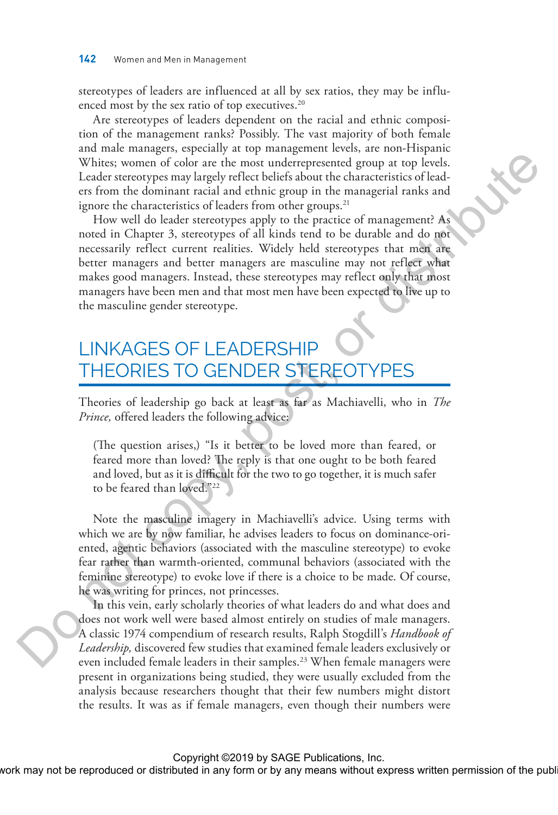stereotypes of leaders are influenced at all by sex ratios, they may be influenced most by the sex ratio of top executives.<sup>20</sup>

Are stereotypes of leaders dependent on the racial and ethnic composition of the management ranks? Possibly. The vast majority of both female and male managers, especially at top management levels, are non-Hispanic Whites; women of color are the most underrepresented group at top levels. Leader stereotypes may largely reflect beliefs about the characteristics of leaders from the dominant racial and ethnic group in the managerial ranks and ignore the characteristics of leaders from other groups.<sup>21</sup>

How well do leader stereotypes apply to the practice of management? As noted in Chapter 3, stereotypes of all kinds tend to be durable and do not necessarily reflect current realities. Widely held stereotypes that men are better managers and better managers are masculine may not reflect what makes good managers. Instead, these stereotypes may reflect only that most managers have been men and that most men have been expected to live up to the masculine gender stereotype.

## LINKAGES OF LEADERSHIP THEORIES TO GENDER STEREO

Theories of leadership go back at least as far as Machiavelli, who in *The Prince,* offered leaders the following advice:

(The question arises,) "Is it better to be loved more than feared, or feared more than loved? The reply is that one ought to be both feared and loved, but as it is difficult for the two to go together, it is much safer to be feared than loved."22

Note the masculine imagery in Machiavelli's advice. Using terms with which we are by now familiar, he advises leaders to focus on dominance-oriented, agentic behaviors (associated with the masculine stereotype) to evoke fear rather than warmth-oriented, communal behaviors (associated with the feminine stereotype) to evoke love if there is a choice to be made. Of course, he was writing for princes, not princesses.

In this vein, early scholarly theories of what leaders do and what does and does not work well were based almost entirely on studies of male managers. A classic 1974 compendium of research results, Ralph Stogdill's *Handbook of Leadership,* discovered few studies that examined female leaders exclusively or even included female leaders in their samples.<sup>23</sup> When female managers were present in organizations being studied, they were usually excluded from the analysis because researchers thought that their few numbers might distort the results. It was as if female managers, even though their numbers were White, women of color are the reproduced or distributed in a reproduced or distributed in a relation or the publisher and the publisher and the publisher. This well distributed in a relation of the publisher. This well di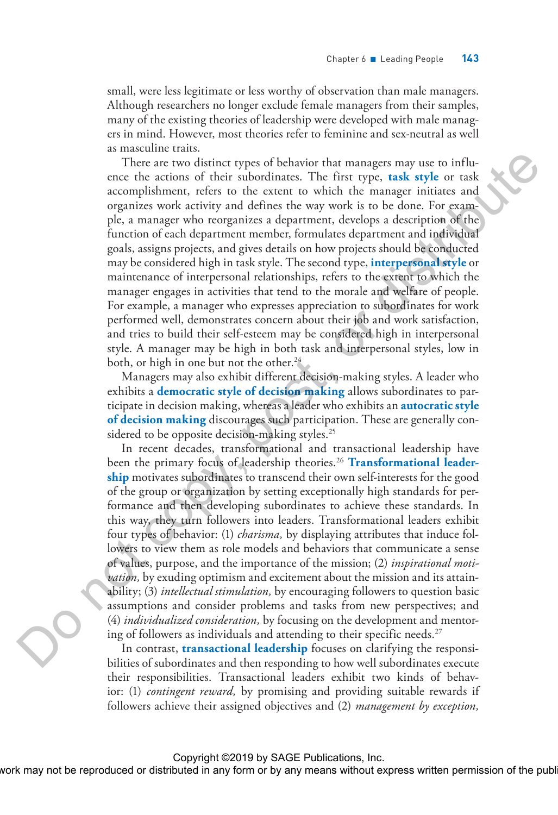small, were less legitimate or less worthy of observation than male managers. Although researchers no longer exclude female managers from their samples, many of the existing theories of leadership were developed with male managers in mind. However, most theories refer to feminine and sex-neutral as well as masculine traits.

There are two distinct types of behavior that managers may use to influence the actions of their subordinates. The first type, **task style** or task accomplishment, refers to the extent to which the manager initiates and organizes work activity and defines the way work is to be done. For example, a manager who reorganizes a department, develops a description of the function of each department member, formulates department and individual goals, assigns projects, and gives details on how projects should be conducted may be considered high in task style. The second type, **interpersonal style** or maintenance of interpersonal relationships, refers to the extent to which the manager engages in activities that tend to the morale and welfare of people. For example, a manager who expresses appreciation to subordinates for work performed well, demonstrates concern about their job and work satisfaction, and tries to build their self-esteem may be considered high in interpersonal style. A manager may be high in both task and interpersonal styles, low in both, or high in one but not the other.<sup>24</sup> There are two distributed to the restrict to which the manager in any to individual coorumption<br>means work activity and defines the way work is to be done. For grange<br>representation, refers to the extent to which the tran

Managers may also exhibit different decision-making styles. A leader who exhibits a **democratic style of decision making** allows subordinates to participate in decision making, whereas a leader who exhibits an **autocratic style of decision making** discourages such participation. These are generally considered to be opposite decision-making styles.<sup>25</sup>

In recent decades, transformational and transactional leadership have been the primary focus of leadership theories.26 **Transformational leadership** motivates subordinates to transcend their own self-interests for the good of the group or organization by setting exceptionally high standards for performance and then developing subordinates to achieve these standards. In this way, they turn followers into leaders. Transformational leaders exhibit four types of behavior: (1) *charisma,* by displaying attributes that induce followers to view them as role models and behaviors that communicate a sense of values, purpose, and the importance of the mission; (2) *inspirational motivation,* by exuding optimism and excitement about the mission and its attainability; (3) *intellectual stimulation,* by encouraging followers to question basic assumptions and consider problems and tasks from new perspectives; and (4) *individualized consideration,* by focusing on the development and mentoring of followers as individuals and attending to their specific needs.<sup>27</sup>

In contrast, **transactional leadership** focuses on clarifying the responsibilities of subordinates and then responding to how well subordinates execute their responsibilities. Transactional leaders exhibit two kinds of behavior: (1) *contingent reward,* by promising and providing suitable rewards if followers achieve their assigned objectives and (2) *management by exception,*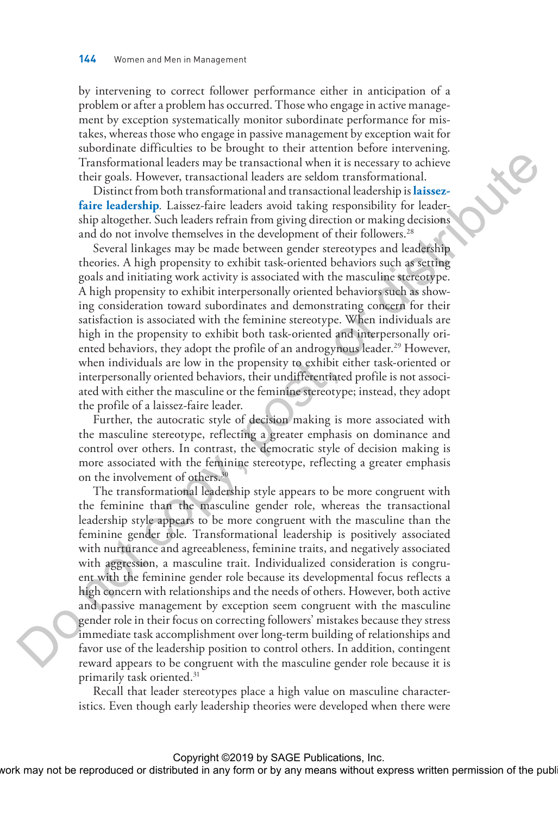by intervening to correct follower performance either in anticipation of a problem or after a problem has occurred. Those who engage in active management by exception systematically monitor subordinate performance for mistakes, whereas those who engage in passive management by exception wait for subordinate difficulties to be brought to their attention before intervening. Transformational leaders may be transactional when it is necessary to achieve their goals. However, transactional leaders are seldom transformational.

Distinct from both transformational and transactional leadership is **laissezfaire leadership***.* Laissez-faire leaders avoid taking responsibility for leadership altogether. Such leaders refrain from giving direction or making decisions and do not involve themselves in the development of their followers.<sup>28</sup>

Several linkages may be made between gender stereotypes and leadership theories. A high propensity to exhibit task-oriented behaviors such as setting goals and initiating work activity is associated with the masculine stereotype. A high propensity to exhibit interpersonally oriented behaviors such as showing consideration toward subordinates and demonstrating concern for their satisfaction is associated with the feminine stereotype. When individuals are high in the propensity to exhibit both task-oriented and interpersonally oriented behaviors, they adopt the profile of an androgynous leader.<sup>29</sup> However, when individuals are low in the propensity to exhibit either task-oriented or interpersonally oriented behaviors, their undifferentiated profile is not associated with either the masculine or the feminine stereotype; instead, they adopt the profile of a laissez-faire leader.

Further, the autocratic style of decision making is more associated with the masculine stereotype, reflecting a greater emphasis on dominance and control over others. In contrast, the democratic style of decision making is more associated with the feminine stereotype, reflecting a greater emphasis on the involvement of others.30

The transformational leadership style appears to be more congruent with the feminine than the masculine gender role, whereas the transactional leadership style appears to be more congruent with the masculine than the feminine gender role. Transformational leadership is positively associated with nurturance and agreeableness, feminine traits, and negatively associated with aggression, a masculine trait. Individualized consideration is congruent with the feminine gender role because its developmental focus reflects a high concern with relationships and the needs of others. However, both active and passive management by exception seem congruent with the masculine gender role in their focus on correcting followers' mistakes because they stress immediate task accomplishment over long-term building of relationships and favor use of the leadership position to control others. In addition, contingent reward appears to be congruent with the masculine gender role because it is primarily task oriented.<sup>31</sup> Therefore more three in the reproduced or distributed in the researction of the reproduced or distributed in any form or by any means without expression of the rest or the publisher. For distributed in any form or by any

Recall that leader stereotypes place a high value on masculine characteristics. Even though early leadership theories were developed when there were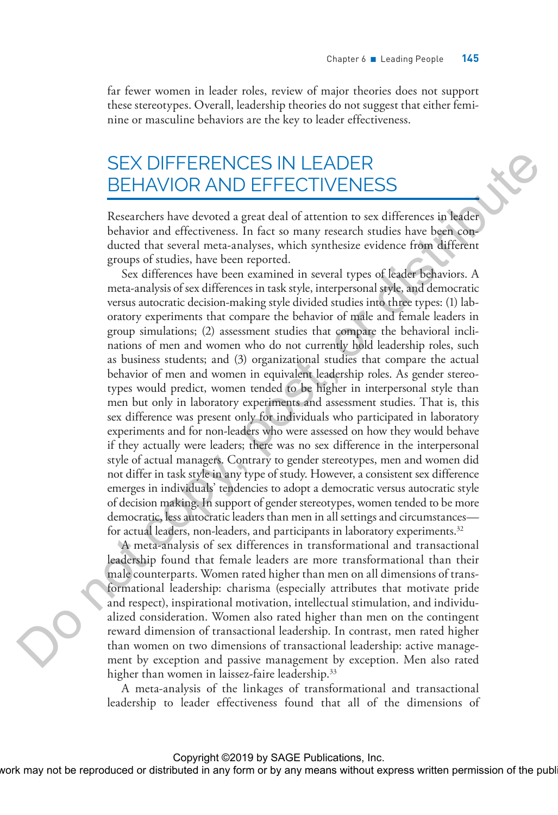far fewer women in leader roles, review of major theories does not support these stereotypes. Overall, leadership theories do not suggest that either feminine or masculine behaviors are the key to leader effectiveness.

### SEX DIFFERENCES IN LEADER BEHAVIOR AND EFFECTIVENESS

Researchers have devoted a great deal of attention to sex differences in leader behavior and effectiveness. In fact so many research studies have been conducted that several meta-analyses, which synthesize evidence from different groups of studies, have been reported.

Sex differences have been examined in several types of leader behaviors. A meta-analysis of sex differences in task style, interpersonal style, and democratic versus autocratic decision-making style divided studies into three types: (1) laboratory experiments that compare the behavior of male and female leaders in group simulations; (2) assessment studies that compare the behavioral inclinations of men and women who do not currently hold leadership roles, such as business students; and (3) organizational studies that compare the actual behavior of men and women in equivalent leadership roles. As gender stereotypes would predict, women tended to be higher in interpersonal style than men but only in laboratory experiments and assessment studies. That is, this sex difference was present only for individuals who participated in laboratory experiments and for non-leaders who were assessed on how they would behave if they actually were leaders; there was no sex difference in the interpersonal style of actual managers. Contrary to gender stereotypes, men and women did not differ in task style in any type of study. However, a consistent sex difference emerges in individuals' tendencies to adopt a democratic versus autocratic style of decision making. In support of gender stereotypes, women tended to be more democratic, less autocratic leaders than men in all settings and circumstances for actual leaders, non-leaders, and participants in laboratory experiments. $32$ SEX DIFFERENCES IN LEADER<br>
BEHAVIOR AND EFFECTIVENESS<br>
Reserved or a stributed or distributed in a second measurements to a stribute or both considers when<br>the behavior and effectiven as the form or any means which we rel

A meta-analysis of sex differences in transformational and transactional leadership found that female leaders are more transformational than their male counterparts. Women rated higher than men on all dimensions of transformational leadership: charisma (especially attributes that motivate pride and respect), inspirational motivation, intellectual stimulation, and individualized consideration. Women also rated higher than men on the contingent reward dimension of transactional leadership. In contrast, men rated higher than women on two dimensions of transactional leadership: active management by exception and passive management by exception. Men also rated higher than women in laissez-faire leadership.<sup>33</sup>

A meta-analysis of the linkages of transformational and transactional leadership to leader effectiveness found that all of the dimensions of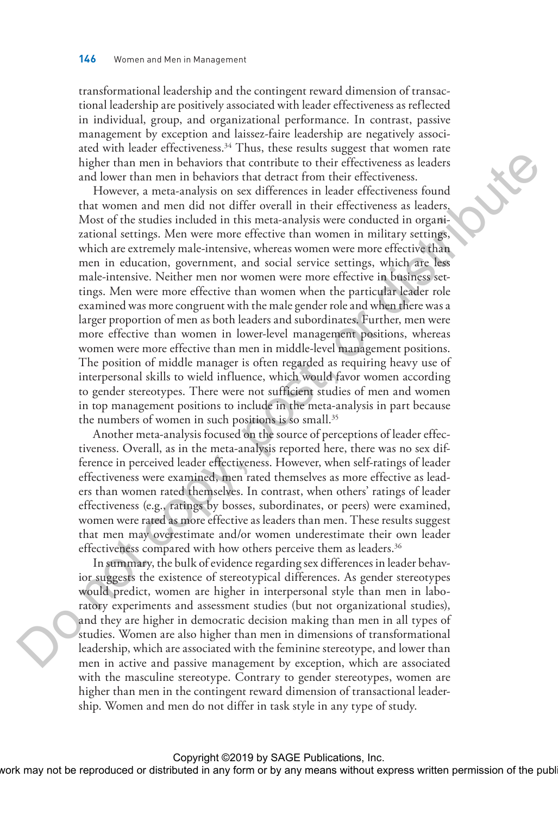transformational leadership and the contingent reward dimension of transactional leadership are positively associated with leader effectiveness as reflected in individual, group, and organizational performance. In contrast, passive management by exception and laissez-faire leadership are negatively associated with leader effectiveness.<sup>34</sup> Thus, these results suggest that women rate higher than men in behaviors that contribute to their effectiveness as leaders and lower than men in behaviors that detract from their effectiveness.

However, a meta-analysis on sex differences in leader effectiveness found that women and men did not differ overall in their effectiveness as leaders. Most of the studies included in this meta-analysis were conducted in organizational settings. Men were more effective than women in military settings, which are extremely male-intensive, whereas women were more effective than men in education, government, and social service settings, which are less male-intensive. Neither men nor women were more effective in business settings. Men were more effective than women when the particular leader role examined was more congruent with the male gender role and when there was a larger proportion of men as both leaders and subordinates. Further, men were more effective than women in lower-level management positions, whereas women were more effective than men in middle-level management positions. The position of middle manager is often regarded as requiring heavy use of interpersonal skills to wield influence, which would favor women according to gender stereotypes. There were not sufficient studies of men and women in top management positions to include in the meta-analysis in part because the numbers of women in such positions is so small.<sup>35</sup> Figure may not be repressed or distributed or distributed in the references of the same analysis or a set of the reserved in any means with the same any form or distributed in this metallic means were content of the publi

Another meta-analysis focused on the source of perceptions of leader effectiveness. Overall, as in the meta-analysis reported here, there was no sex difference in perceived leader effectiveness. However, when self-ratings of leader effectiveness were examined, men rated themselves as more effective as leaders than women rated themselves. In contrast, when others' ratings of leader effectiveness (e.g., ratings by bosses, subordinates, or peers) were examined, women were rated as more effective as leaders than men. These results suggest that men may overestimate and/or women underestimate their own leader effectiveness compared with how others perceive them as leaders.<sup>36</sup>

In summary, the bulk of evidence regarding sex differences in leader behavior suggests the existence of stereotypical differences. As gender stereotypes would predict, women are higher in interpersonal style than men in laboratory experiments and assessment studies (but not organizational studies), and they are higher in democratic decision making than men in all types of studies. Women are also higher than men in dimensions of transformational leadership, which are associated with the feminine stereotype, and lower than men in active and passive management by exception, which are associated with the masculine stereotype. Contrary to gender stereotypes, women are higher than men in the contingent reward dimension of transactional leadership. Women and men do not differ in task style in any type of study.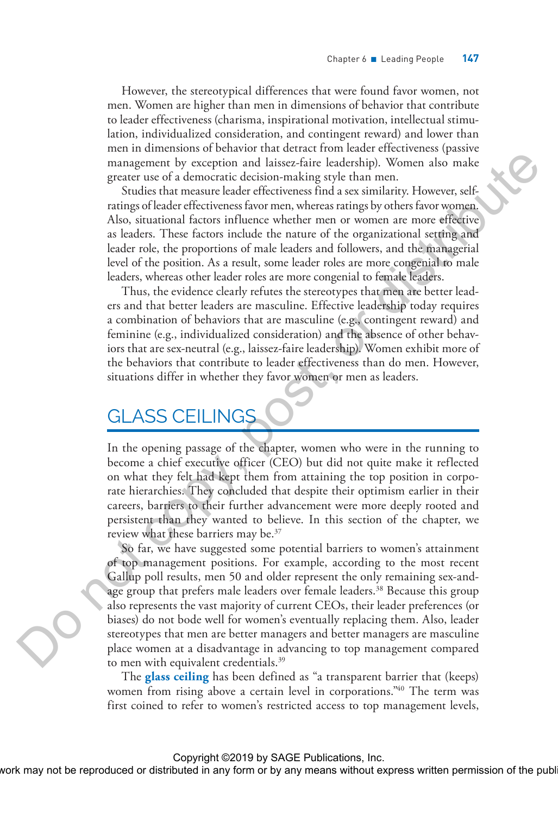However, the stereotypical differences that were found favor women, not men. Women are higher than men in dimensions of behavior that contribute to leader effectiveness (charisma, inspirational motivation, intellectual stimulation, individualized consideration, and contingent reward) and lower than men in dimensions of behavior that detract from leader effectiveness (passive management by exception and laissez-faire leadership). Women also make greater use of a democratic decision-making style than men.

Studies that measure leader effectiveness find a sex similarity. However, selfratings of leader effectiveness favor men, whereas ratings by others favor women. Also, situational factors influence whether men or women are more effective as leaders. These factors include the nature of the organizational setting and leader role, the proportions of male leaders and followers, and the managerial level of the position. As a result, some leader roles are more congenial to male leaders, whereas other leader roles are more congenial to female leaders.

Thus, the evidence clearly refutes the stereotypes that men are better leaders and that better leaders are masculine. Effective leadership today requires a combination of behaviors that are masculine (e.g., contingent reward) and feminine (e.g., individualized consideration) and the absence of other behaviors that are sex-neutral (e.g., laissez-faire leadership). Women exhibit more of the behaviors that contribute to leader effectiveness than do men. However, situations differ in whether they favor women or men as leaders.

#### GLASS CEILINGS

In the opening passage of the chapter, women who were in the running to become a chief executive officer (CEO) but did not quite make it reflected on what they felt had kept them from attaining the top position in corporate hierarchies. They concluded that despite their optimism earlier in their careers, barriers to their further advancement were more deeply rooted and persistent than they wanted to believe. In this section of the chapter, we review what these barriers may be.<sup>37</sup>

So far, we have suggested some potential barriers to women's attainment of top management positions. For example, according to the most recent Gallup poll results, men 50 and older represent the only remaining sex-andage group that prefers male leaders over female leaders.<sup>38</sup> Because this group also represents the vast majority of current CEOs, their leader preferences (or biases) do not bode well for women's eventually replacing them. Also, leader stereotypes that men are better managers and better managers are masculine place women at a disadvantage in advancing to top management compared to men with equivalent credentials.39 management by exception and latter-stributed by any means when the repression of the repression of the repression of the repression of the restributed in any means when the state in any means when the state of the system

The **glass ceiling** has been defined as "a transparent barrier that (keeps) women from rising above a certain level in corporations."40 The term was first coined to refer to women's restricted access to top management levels,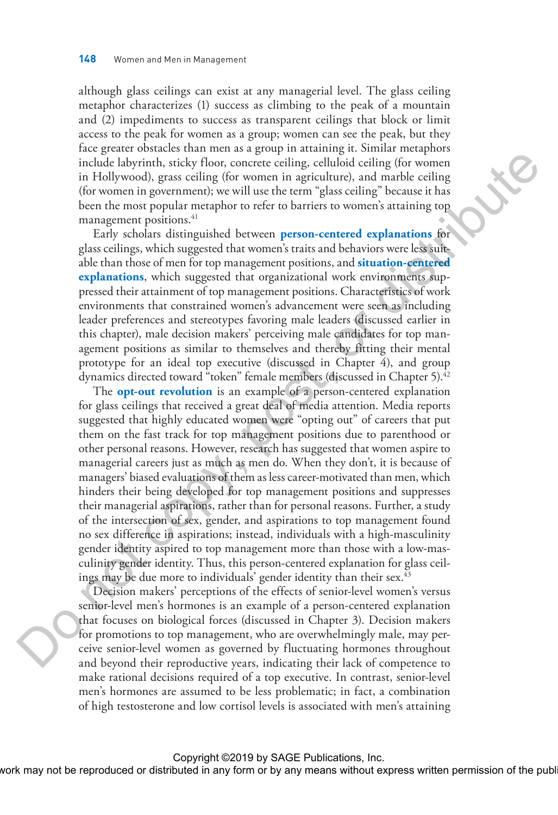although glass ceilings can exist at any managerial level. The glass ceiling metaphor characterizes (1) success as climbing to the peak of a mountain and (2) impediments to success as transparent ceilings that block or limit access to the peak for women as a group; women can see the peak, but they face greater obstacles than men as a group in attaining it. Similar metaphors include labyrinth, sticky floor, concrete ceiling, celluloid ceiling (for women in Hollywood), grass ceiling (for women in agriculture), and marble ceiling (for women in government); we will use the term "glass ceiling" because it has been the most popular metaphor to refer to barriers to women's attaining top management positions.<sup>41</sup>

Early scholars distinguished between **person-centered explanations** for glass ceilings, which suggested that women's traits and behaviors were less suitable than those of men for top management positions, and **situation-centered explanations**, which suggested that organizational work environments suppressed their attainment of top management positions. Characteristics of work environments that constrained women's advancement were seen as including leader preferences and stereotypes favoring male leaders (discussed earlier in this chapter), male decision makers' perceiving male candidates for top management positions as similar to themselves and thereby fitting their mental prototype for an ideal top executive (discussed in Chapter 4), and group dynamics directed toward "token" female members (discussed in Chapter 5).<sup>42</sup>

The **opt-out revolution** is an example of a person-centered explanation for glass ceilings that received a great deal of media attention. Media reports suggested that highly educated women were "opting out" of careers that put them on the fast track for top management positions due to parenthood or other personal reasons. However, research has suggested that women aspire to managerial careers just as much as men do. When they don't, it is because of managers' biased evaluations of them as less career-motivated than men, which hinders their being developed for top management positions and suppresses their managerial aspirations, rather than for personal reasons. Further, a study of the intersection of sex, gender, and aspirations to top management found no sex difference in aspirations; instead, individuals with a high-masculinity gender identity aspired to top management more than those with a low-masculinity gender identity. Thus, this person-centered explanation for glass ceilings may be due more to individuals' gender identity than their sex.<sup>43</sup> Include the repression, their plots concerned eclines celluled in distribution (i.e. wores in in a means we represent the result of the term "glass celling" because it is a better the publisher. The worst in any form or b

Decision makers' perceptions of the effects of senior-level women's versus senior-level men's hormones is an example of a person-centered explanation that focuses on biological forces (discussed in Chapter 3). Decision makers for promotions to top management, who are overwhelmingly male, may perceive senior-level women as governed by fluctuating hormones throughout and beyond their reproductive years, indicating their lack of competence to make rational decisions required of a top executive. In contrast, senior-level men's hormones are assumed to be less problematic; in fact, a combination of high testosterone and low cortisol levels is associated with men's attaining

Copyright ©2019 by SAGE Publications, Inc.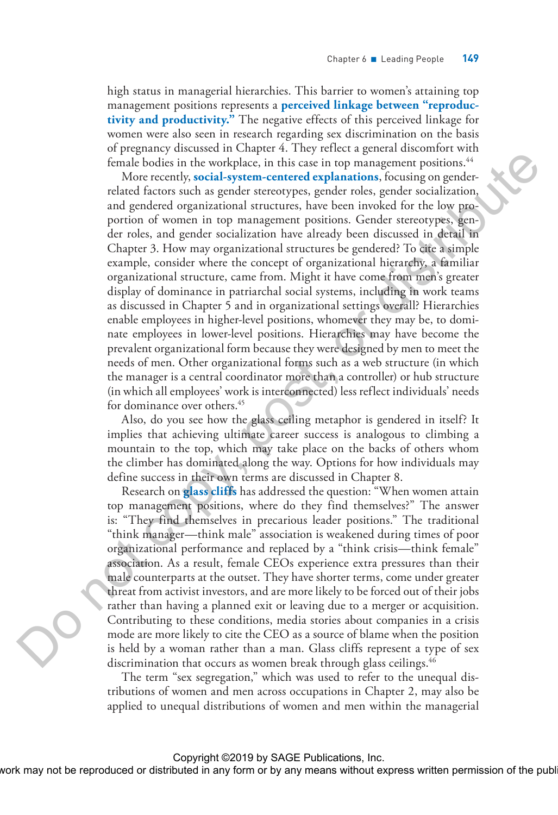high status in managerial hierarchies. This barrier to women's attaining top management positions represents a **perceived linkage between "reproductivity and productivity."** The negative effects of this perceived linkage for women were also seen in research regarding sex discrimination on the basis of pregnancy discussed in Chapter 4. They reflect a general discomfort with female bodies in the workplace, in this case in top management positions.<sup>44</sup>

More recently, **social-system-centered explanations**, focusing on genderrelated factors such as gender stereotypes, gender roles, gender socialization, and gendered organizational structures, have been invoked for the low proportion of women in top management positions. Gender stereotypes, gender roles, and gender socialization have already been discussed in detail in Chapter 3. How may organizational structures be gendered? To cite a simple example, consider where the concept of organizational hierarchy, a familiar organizational structure, came from. Might it have come from men's greater display of dominance in patriarchal social systems, including in work teams as discussed in Chapter 5 and in organizational settings overall? Hierarchies enable employees in higher-level positions, whomever they may be, to dominate employees in lower-level positions. Hierarchies may have become the prevalent organizational form because they were designed by men to meet the needs of men. Other organizational forms such as a web structure (in which the manager is a central coordinator more than a controller) or hub structure (in which all employees' work is interconnected) less reflect individuals' needs for dominance over others.<sup>45</sup> Frame between the conductions, in this are to the publisher and the representations. For the results and gendered organizational arrows<br>true state permission of the by gap-<br>and gendered organizational arrows music and per

Also, do you see how the glass ceiling metaphor is gendered in itself? It implies that achieving ultimate career success is analogous to climbing a mountain to the top, which may take place on the backs of others whom the climber has dominated along the way. Options for how individuals may define success in their own terms are discussed in Chapter 8.

Research on **glass cliffs** has addressed the question: "When women attain top management positions, where do they find themselves?" The answer is: "They find themselves in precarious leader positions." The traditional "think manager—think male" association is weakened during times of poor organizational performance and replaced by a "think crisis—think female" association. As a result, female CEOs experience extra pressures than their male counterparts at the outset. They have shorter terms, come under greater threat from activist investors, and are more likely to be forced out of their jobs rather than having a planned exit or leaving due to a merger or acquisition. Contributing to these conditions, media stories about companies in a crisis mode are more likely to cite the CEO as a source of blame when the position is held by a woman rather than a man. Glass cliffs represent a type of sex discrimination that occurs as women break through glass ceilings.<sup>46</sup>

The term "sex segregation," which was used to refer to the unequal distributions of women and men across occupations in Chapter 2, may also be applied to unequal distributions of women and men within the managerial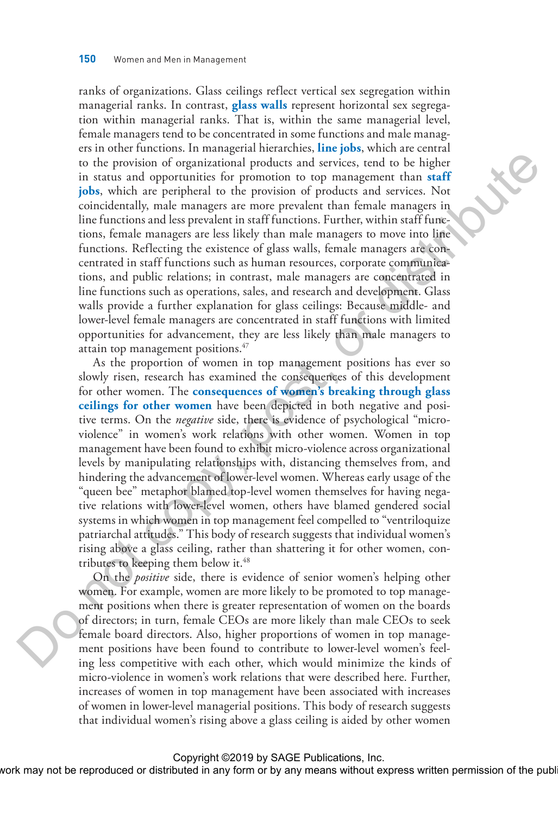ranks of organizations. Glass ceilings reflect vertical sex segregation within managerial ranks. In contrast, **glass walls** represent horizontal sex segregation within managerial ranks. That is, within the same managerial level, female managers tend to be concentrated in some functions and male managers in other functions. In managerial hierarchies, **line jobs**, which are central to the provision of organizational products and services, tend to be higher in status and opportunities for promotion to top management than **staff jobs**, which are peripheral to the provision of products and services. Not coincidentally, male managers are more prevalent than female managers in line functions and less prevalent in staff functions. Further, within staff functions, female managers are less likely than male managers to move into line functions. Reflecting the existence of glass walls, female managers are concentrated in staff functions such as human resources, corporate communications, and public relations; in contrast, male managers are concentrated in line functions such as operations, sales, and research and development. Glass walls provide a further explanation for glass ceilings: Because middle- and lower-level female managers are concentrated in staff functions with limited opportunities for advancement, they are less likely than male managers to attain top management positions.47

As the proportion of women in top management positions has ever so slowly risen, research has examined the consequences of this development for other women. The **consequences of women's breaking through glass ceilings for other women** have been depicted in both negative and positive terms. On the *negative* side, there is evidence of psychological "microviolence" in women's work relations with other women. Women in top management have been found to exhibit micro-violence across organizational levels by manipulating relationships with, distancing themselves from, and hindering the advancement of lower-level women. Whereas early usage of the "queen bee" metaphor blamed top-level women themselves for having negative relations with lower-level women, others have blamed gendered social systems in which women in top management feel compelled to "ventriloquize patriarchal attitudes." This body of research suggests that individual women's rising above a glass ceiling, rather than shattering it for other women, contributes to keeping them below it.<sup>48</sup> The may not be represented to the publisher or distributed in any form of the representation of the publisher with the publisher and serverises. Note that the publisher with the publisher with the publisher with the publi

On the *positive* side, there is evidence of senior women's helping other women. For example, women are more likely to be promoted to top management positions when there is greater representation of women on the boards of directors; in turn, female CEOs are more likely than male CEOs to seek female board directors. Also, higher proportions of women in top management positions have been found to contribute to lower-level women's feeling less competitive with each other, which would minimize the kinds of micro-violence in women's work relations that were described here. Further, increases of women in top management have been associated with increases of women in lower-level managerial positions. This body of research suggests that individual women's rising above a glass ceiling is aided by other women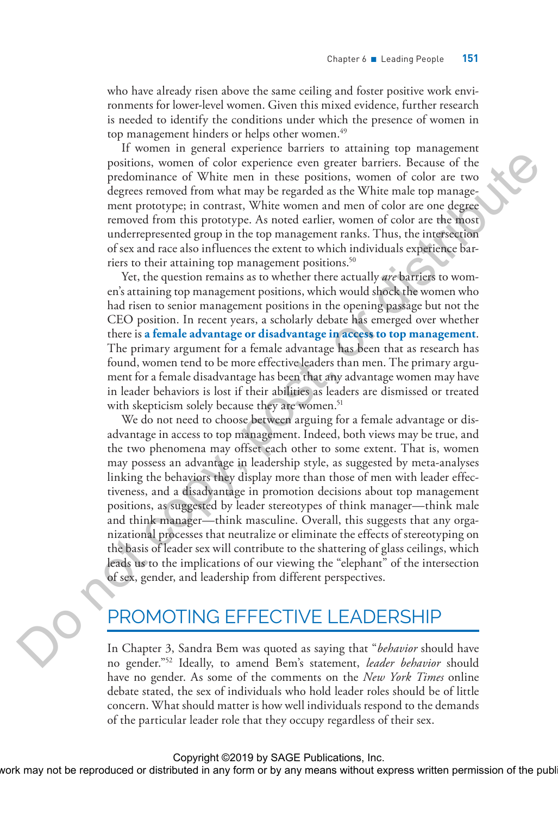who have already risen above the same ceiling and foster positive work environments for lower-level women. Given this mixed evidence, further research is needed to identify the conditions under which the presence of women in top management hinders or helps other women.<sup>49</sup>

If women in general experience barriers to attaining top management positions, women of color experience even greater barriers. Because of the predominance of White men in these positions, women of color are two degrees removed from what may be regarded as the White male top management prototype; in contrast, White women and men of color are one degree removed from this prototype. As noted earlier, women of color are the most underrepresented group in the top management ranks. Thus, the intersection of sex and race also influences the extent to which individuals experience barriers to their attaining top management positions.<sup>50</sup>

Yet, the question remains as to whether there actually *are* barriers to women's attaining top management positions, which would shock the women who had risen to senior management positions in the opening passage but not the CEO position. In recent years, a scholarly debate has emerged over whether there is **a female advantage or disadvantage in access to top management**. The primary argument for a female advantage has been that as research has found, women tend to be more effective leaders than men. The primary argument for a female disadvantage has been that any advantage women may have in leader behaviors is lost if their abilities as leaders are dismissed or treated with skepticism solely because they are women.<sup>51</sup>

We do not need to choose between arguing for a female advantage or disadvantage in access to top management. Indeed, both views may be true, and the two phenomena may offset each other to some extent. That is, women may possess an advantage in leadership style, as suggested by meta-analyses linking the behaviors they display more than those of men with leader effectiveness, and a disadvantage in promotion decisions about top management positions, as suggested by leader stereotypes of think manager—think male and think manager—think masculine. Overall, this suggests that any organizational processes that neutralize or eliminate the effects of stereotyping on the basis of leader sex will contribute to the shattering of glass ceilings, which leads us to the implications of our viewing the "elephant" of the intersection of sex, gender, and leadership from different perspectives. position, women or distributed in the repression of the repression of the publisher. Thus, the repression of the repression of the repression of the rest of the publisher. Thus, the interference energrade in any interfere

#### PROMOTING EFFECTIVE LEADERSHIP

In Chapter 3, Sandra Bem was quoted as saying that "*behavior* should have no gender."52 Ideally, to amend Bem's statement, *leader behavior* should have no gender. As some of the comments on the *New York Times* online debate stated, the sex of individuals who hold leader roles should be of little concern. What should matter is how well individuals respond to the demands of the particular leader role that they occupy regardless of their sex.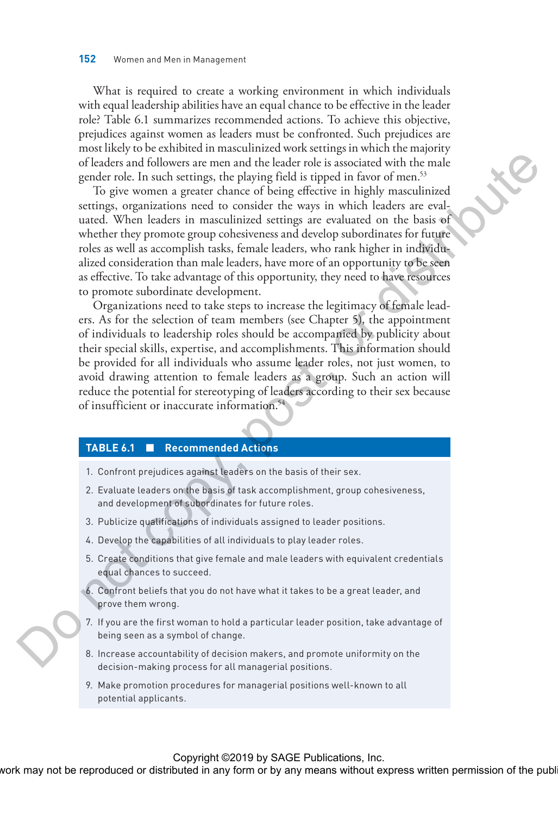What is required to create a working environment in which individuals with equal leadership abilities have an equal chance to be effective in the leader role? Table 6.1 summarizes recommended actions. To achieve this objective, prejudices against women as leaders must be confronted. Such prejudices are most likely to be exhibited in masculinized work settings in which the majority of leaders and followers are men and the leader role is associated with the male gender role. In such settings, the playing field is tipped in favor of men.<sup>53</sup>

To give women a greater chance of being effective in highly masculinized settings, organizations need to consider the ways in which leaders are evaluated. When leaders in masculinized settings are evaluated on the basis of whether they promote group cohesiveness and develop subordinates for future roles as well as accomplish tasks, female leaders, who rank higher in individualized consideration than male leaders, have more of an opportunity to be seen as effective. To take advantage of this opportunity, they need to have resources to promote subordinate development. The<br>signals road. In such statings, the phying field is cipped in favor of mon."<br>To gew come a greater characterize or in angle there we in bigely mass<br>dimension or a great characterize of the publisher simulation of the<br>

Organizations need to take steps to increase the legitimacy of female leaders. As for the selection of team members (see Chapter 5), the appointment of individuals to leadership roles should be accompanied by publicity about their special skills, expertise, and accomplishments. This information should be provided for all individuals who assume leader roles, not just women, to avoid drawing attention to female leaders as a group. Such an action will reduce the potential for stereotyping of leaders according to their sex because of insufficient or inaccurate information.54

#### **TABLE 6.1** ■ **Recommended Actions**

- 1. Confront prejudices against leaders on the basis of their sex.
- 2. Evaluate leaders on the basis of task accomplishment, group cohesiveness, and development of subordinates for future roles.
- 3. Publicize qualifications of individuals assigned to leader positions.
- 4. Develop the capabilities of all individuals to play leader roles.
- 5. Create conditions that give female and male leaders with equivalent credentials equal chances to succeed.
- 6. Confront beliefs that you do not have what it takes to be a great leader, and prove them wrong.
- 7. If you are the first woman to hold a particular leader position, take advantage of being seen as a symbol of change.
- 8. Increase accountability of decision makers, and promote uniformity on the decision-making process for all managerial positions.
- 9. Make promotion procedures for managerial positions well-known to all potential applicants.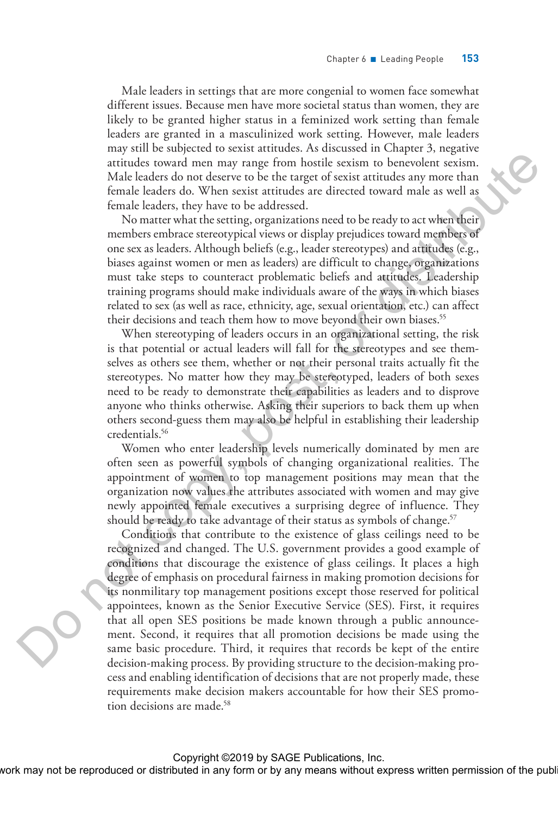Male leaders in settings that are more congenial to women face somewhat different issues. Because men have more societal status than women, they are likely to be granted higher status in a feminized work setting than female leaders are granted in a masculinized work setting. However, male leaders may still be subjected to sexist attitudes. As discussed in Chapter 3, negative attitudes toward men may range from hostile sexism to benevolent sexism. Male leaders do not deserve to be the target of sexist attitudes any more than female leaders do. When sexist attitudes are directed toward male as well as female leaders, they have to be addressed.

No matter what the setting, organizations need to be ready to act when their members embrace stereotypical views or display prejudices toward members of one sex as leaders. Although beliefs (e.g., leader stereotypes) and attitudes (e.g., biases against women or men as leaders) are difficult to change, organizations must take steps to counteract problematic beliefs and attitudes. Leadership training programs should make individuals aware of the ways in which biases related to sex (as well as race, ethnicity, age, sexual orientation, etc.) can affect their decisions and teach them how to move beyond their own biases.<sup>55</sup>

When stereotyping of leaders occurs in an organizational setting, the risk is that potential or actual leaders will fall for the stereotypes and see themselves as others see them, whether or not their personal traits actually fit the stereotypes. No matter how they may be stereotyped, leaders of both sexes need to be ready to demonstrate their capabilities as leaders and to disprove anyone who thinks otherwise. Asking their superiors to back them up when others second-guess them may also be helpful in establishing their leadership credentials.56

Women who enter leadership levels numerically dominated by men are often seen as powerful symbols of changing organizational realities. The appointment of women to top management positions may mean that the organization now values the attributes associated with women and may give newly appointed female executives a surprising degree of influence. They should be ready to take advantage of their status as symbols of change.<sup>57</sup>

Conditions that contribute to the existence of glass ceilings need to be recognized and changed. The U.S. government provides a good example of conditions that discourage the existence of glass ceilings. It places a high degree of emphasis on procedural fairness in making promotion decisions for its nonmilitary top management positions except those reserved for political appointees, known as the Senior Executive Service (SES). First, it requires that all open SES positions be made known through a public announcement. Second, it requires that all promotion decisions be made using the same basic procedure. Third, it requires that records be kept of the entire decision-making process. By providing structure to the decision-making process and enabling identification of decisions that are not properly made, these requirements make decision makers accountable for how their SES promotion decisions are made.<sup>58</sup> The represented or the restriction or distributed in the restriction or between the relations are the restributed in any form or by any means when the restributed in the restributed in the same of the publisher. Some mean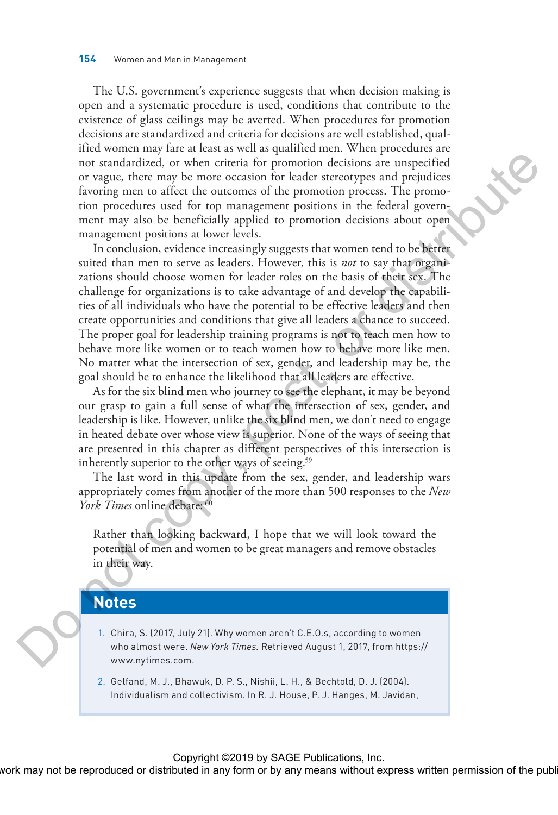The U.S. government's experience suggests that when decision making is open and a systematic procedure is used, conditions that contribute to the existence of glass ceilings may be averted. When procedures for promotion decisions are standardized and criteria for decisions are well established, qualified women may fare at least as well as qualified men. When procedures are not standardized, or when criteria for promotion decisions are unspecified or vague, there may be more occasion for leader stereotypes and prejudices favoring men to affect the outcomes of the promotion process. The promotion procedures used for top management positions in the federal government may also be beneficially applied to promotion decisions about open management positions at lower levels.

In conclusion, evidence increasingly suggests that women tend to be better suited than men to serve as leaders. However, this is *not* to say that organizations should choose women for leader roles on the basis of their sex. The challenge for organizations is to take advantage of and develop the capabilities of all individuals who have the potential to be effective leaders and then create opportunities and conditions that give all leaders a chance to succeed. The proper goal for leadership training programs is not to teach men how to behave more like women or to teach women how to behave more like men. No matter what the intersection of sex, gender, and leadership may be, the goal should be to enhance the likelihood that all leaders are effective. not example the vector or distributed or twich crisis the reproduced or distributed in any form or the system or distributed in any means were stated in any means were stated to publish the system of the publisher. The pu

As for the six blind men who journey to see the elephant, it may be beyond our grasp to gain a full sense of what the intersection of sex, gender, and leadership is like. However, unlike the six blind men, we don't need to engage in heated debate over whose view is superior. None of the ways of seeing that are presented in this chapter as different perspectives of this intersection is inherently superior to the other ways of seeing.<sup>59</sup>

The last word in this update from the sex, gender, and leadership wars appropriately comes from another of the more than 500 responses to the *New*  York Times online debate: 60

Rather than looking backward, I hope that we will look toward the potential of men and women to be great managers and remove obstacles in their way.

#### **Notes**

- 1. Chira, S. (2017, July 21). Why women aren't C.E.O.s, according to women who almost were. *New York Times.* Retrieved August 1, 2017, from https:// www.nytimes.com.
- 2. Gelfand, M. J., Bhawuk, D. P. S., Nishii, L. H., & Bechtold, D. J. (2004). Individualism and collectivism. In R. J. House, P. J. Hanges, M. Javidan,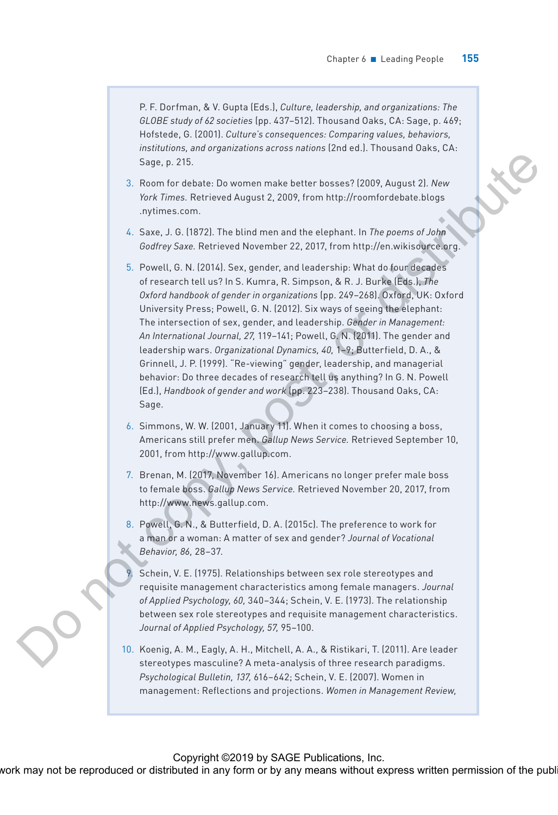P. F. Dorfman, & V. Gupta (Eds.), *Culture, leadership, and organizations: The GLOBE study of 62 societies* (pp. 437–512). Thousand Oaks, CA: Sage, p. 469; Hofstede, G. (2001). *Culture's consequences: Comparing values, behaviors, institutions, and organizations across nations* (2nd ed.). Thousand Oaks, CA: Sage, p. 215.

- 3. Room for debate: Do women make better bosses? (2009, August 2). *New York Times.* Retrieved August 2, 2009, from http://roomfordebate.blogs .nytimes.com.
- 4. Saxe, J. G. (1872). The blind men and the elephant. In *The poems of John Godfrey Saxe.* Retrieved November 22, 2017, from http://en.wikisource.org.
- 5. Powell, G. N. (2014). Sex, gender, and leadership: What do four decades of research tell us? In S. Kumra, R. Simpson, & R. J. Burke (Eds.), *The Oxford handbook of gender in organizations* (pp. 249–268). Oxford, UK: Oxford University Press; Powell, G. N. (2012). Six ways of seeing the elephant: The intersection of sex, gender, and leadership. *Gender in Management: An International Journal, 27,* 119–141; Powell, G. N. (2011). The gender and leadership wars. *Organizational Dynamics, 40,* 1–9; Butterfield, D. A., & Grinnell, J. P. (1999). "Re-viewing" gender, leadership, and managerial behavior: Do three decades of research tell us anything? In G. N. Powell (Ed.), *Handbook of gender and work* (pp. 223–238). Thousand Oaks, CA: Sage. Seaps p. 213.<br>
The represented or distributed in any form or by any means with or by any means without express with the repression or  $\sim$  5 means with  $\sim$  5 means with  $\sim$  5 means with  $\sim$  5 means with the publisher.
	- 6. Simmons, W. W. (2001, January 11). When it comes to choosing a boss, Americans still prefer men. *Gallup News Service.* Retrieved September 10, 2001, from http://www.gallup.com.
	- 7. Brenan, M. (2017, November 16). Americans no longer prefer male boss to female boss. *Gallup News Service.* Retrieved November 20, 2017, from http://www.news.gallup.com.
	- 8. Powell, G. N., & Butterfield, D. A. (2015c). The preference to work for a man or a woman: A matter of sex and gender? *Journal of Vocational Behavior, 86,* 28–37.
		- Schein, V. E. (1975). Relationships between sex role stereotypes and requisite management characteristics among female managers. *Journal of Applied Psychology, 60,* 340–344; Schein, V. E. (1973). The relationship between sex role stereotypes and requisite management characteristics. *Journal of Applied Psychology, 57,* 95–100.
	- 10. Koenig, A. M., Eagly, A. H., Mitchell, A. A., & Ristikari, T. (2011). Are leader stereotypes masculine? A meta-analysis of three research paradigms. *Psychological Bulletin, 137,* 616–642; Schein, V. E. (2007). Women in management: Reflections and projections. *Women in Management Review,*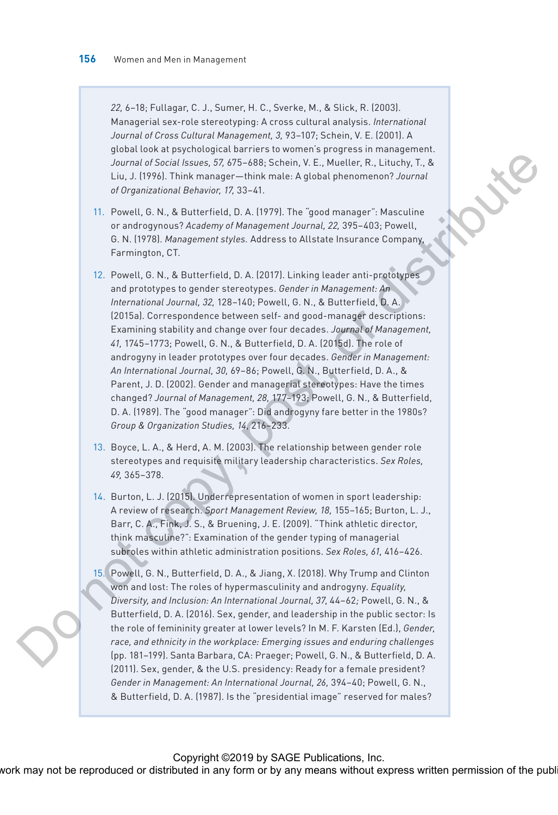*22,* 6–18; Fullagar, C. J., Sumer, H. C., Sverke, M., & Slick, R. (2003). Managerial sex-role stereotyping: A cross cultural analysis. *International Journal of Cross Cultural Management, 3,* 93–107; Schein, V. E. (2001). A global look at psychological barriers to women's progress in management. *Journal of Social Issues, 57,* 675–688; Schein, V. E., Mueller, R., Lituchy, T., & Liu, J. (1996). Think manager—think male: A global phenomenon? *Journal of Organizational Behavior, 17,* 33–41.

- 11. Powell, G. N., & Butterfield, D. A. (1979). The "good manager": Masculine or androgynous? *Academy of Management Journal, 22,* 395–403; Powell, G. N. (1978). *Management styles.* Address to Allstate Insurance Company, Farmington, CT.
- 12. Powell, G. N., & Butterfield, D. A. (2017). Linking leader anti-prototypes and prototypes to gender stereotypes. *Gender in Management: An International Journal, 32,* 128–140; Powell, G. N., & Butterfield, D. A. (2015a). Correspondence between self- and good-manager descriptions: Examining stability and change over four decades. *Journal of Management, 41,* 1745–1773; Powell, G. N., & Butterfield, D. A. (2015d). The role of androgyny in leader prototypes over four decades. *Gender in Management: An International Journal, 30,* 69–86; Powell, G. N., Butterfield, D. A., & Parent, J. D. (2002). Gender and managerial stereotypes: Have the times changed? *Journal of Management, 28,* 177–193; Powell, G. N., & Butterfield, D. A. (1989). The "good manager": Did androgyny fare better in the 1980s? *Group & Organization Studies, 14,* 216–233. From 8 December 2008 (1978-2013) and the repression of the repression or by any means without express with the publisher and the publisher and the publisher and the publisher. This work may not consider the publisher and
	- 13. Boyce, L. A., & Herd, A. M. (2003). The relationship between gender role stereotypes and requisite military leadership characteristics. *Sex Roles, 49,* 365–378.
	- 14. Burton, L. J. (2015). Underrepresentation of women in sport leadership: A review of research. *Sport Management Review, 18,* 155–165; Burton, L. J., Barr, C. A., Fink, J. S., & Bruening, J. E. (2009). "Think athletic director, think masculine?": Examination of the gender typing of managerial subroles within athletic administration positions. *Sex Roles, 61,* 416–426.
	- 15. Powell, G. N., Butterfield, D. A., & Jiang, X. (2018). Why Trump and Clinton won and lost: The roles of hypermasculinity and androgyny. *Equality, Diversity, and Inclusion: An International Journal, 37*, 44–62*;* Powell, G. N., & Butterfield, D. A. (2016). Sex, gender, and leadership in the public sector: Is the role of femininity greater at lower levels? In M. F. Karsten (Ed.), *Gender, race, and ethnicity in the workplace: Emerging issues and enduring challenges* (pp. 181–199). Santa Barbara, CA: Praeger; Powell, G. N., & Butterfield, D. A. (2011). Sex, gender, & the U.S. presidency: Ready for a female president? *Gender in Management: An International Journal, 26,* 394–40; Powell, G. N., & Butterfield, D. A. (1987). Is the "presidential image" reserved for males?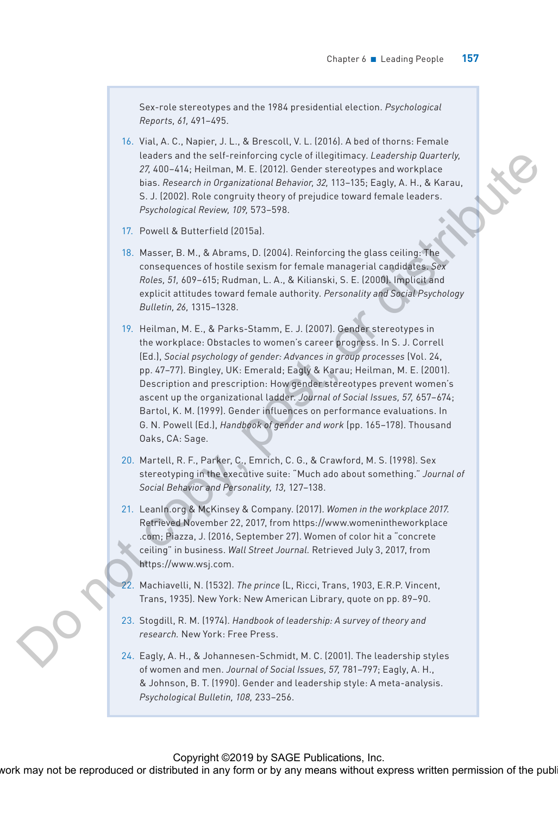Sex-role stereotypes and the 1984 presidential election. *Psychological Reports, 61,* 491–495.

- 16. Vial, A. C., Napier, J. L., & Brescoll, V. L. (2016). A bed of thorns: Female leaders and the self-reinforcing cycle of illegitimacy. *Leadership Quarterly, 27,* 400–414; Heilman, M. E. (2012). Gender stereotypes and workplace bias. *Research in Organizational Behavior, 32,* 113–135; Eagly, A. H., & Karau, S. J. (2002). Role congruity theory of prejudice toward female leaders. *Psychological Review, 109,* 573–598.
- 17. Powell & Butterfield (2015a).
- 18. Masser, B. M., & Abrams, D. (2004). Reinforcing the glass ceiling: The consequences of hostile sexism for female managerial candidates. *Sex Roles, 51,* 609–615; Rudman, L. A., & Kilianski, S. E. (2000). Implicit and explicit attitudes toward female authority. *Personality and Social Psychology Bulletin, 26,* 1315–1328.
- 19. Heilman, M. E., & Parks-Stamm, E. J. (2007). Gender stereotypes in the workplace: Obstacles to women's career progress. In S. J. Correll (Ed.), *Social psychology of gender: Advances in group processes* (Vol. 24, pp. 47–77). Bingley, UK: Emerald; Eagly & Karau; Heilman, M. E. (2001). Description and prescription: How gender stereotypes prevent women's ascent up the organizational ladder. *Journal of Social Issues, 57,* 657–674; Bartol, K. M. (1999). Gender influences on performance evaluations. In G. N. Powell (Ed.), *Handbook of gender and work* (pp. 165–178). Thousand Oaks, CA: Sage*.* This work may not be reproduced or distributed in any form or by any means with the reproduced or distributed in any form or by any produced in any form or by any produced in any form or by any produced in any form or by
	- 20. Martell, R. F., Parker, C., Emrich, C. G., & Crawford, M. S. (1998). Sex stereotyping in the executive suite: "Much ado about something." *Journal of Social Behavior and Personality, 13,* 127–138.
	- 21. LeanIn.org & McKinsey & Company. (2017). *Women in the workplace 2017.* Retrieved November 22, 2017, from https://www.womenintheworkplace .com; Piazza, J. (2016, September 27). Women of color hit a "concrete ceiling" in business. *Wall Street Journal.* Retrieved July 3, 2017, from https://www.wsj.com.
		- 22. Machiavelli, N. (1532). *The prince* (L, Ricci, Trans, 1903, E.R.P. Vincent, Trans, 1935). New York: New American Library, quote on pp. 89–90.
	- 23. Stogdill, R. M. (1974). *Handbook of leadership: A survey of theory and research.* New York: Free Press.
	- 24. Eagly, A. H., & Johannesen-Schmidt, M. C. (2001). The leadership styles of women and men. *Journal of Social Issues, 57,* 781–797; Eagly, A. H., & Johnson, B. T. (1990). Gender and leadership style: A meta-analysis. *Psychological Bulletin, 108,* 233–256.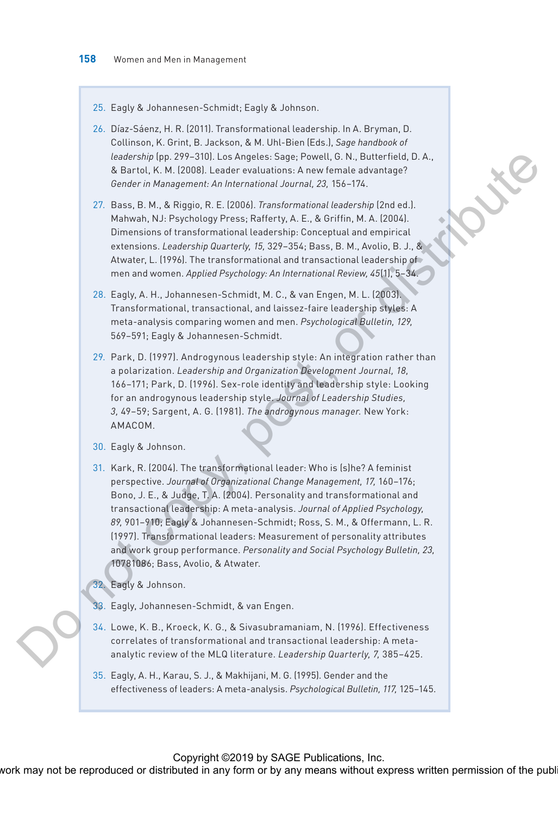- 25. Eagly & Johannesen-Schmidt; Eagly & Johnson.
- 26. Díaz-Sáenz, H. R. (2011). Transformational leadership. In A. Bryman, D. Collinson, K. Grint, B. Jackson, & M. Uhl-Bien (Eds.), *Sage handbook of leadership* (pp. 299–310). Los Angeles: Sage; Powell, G. N., Butterfield, D. A., & Bartol, K. M. (2008). Leader evaluations: A new female advantage? *Gender in Management: An International Journal, 23,* 156–174.
- 27. Bass, B. M., & Riggio, R. E. (2006). *Transformational leadership* (2nd ed.). Mahwah, NJ: Psychology Press; Rafferty, A. E., & Griffin, M. A. (2004). Dimensions of transformational leadership: Conceptual and empirical extensions. *Leadership Quarterly, 15,* 329–354; Bass, B. M., Avolio, B. J., & Atwater, L. (1996). The transformational and transactional leadership of men and women. *Applied Psychology: An International Review, 45*(1), 5–34.
- 28. Eagly, A. H., Johannesen-Schmidt, M. C., & van Engen, M. L. (2003). Transformational, transactional, and laissez-faire leadership styles: A meta-analysis comparing women and men. *Psychological Bulletin, 129,*  569–591; Eagly & Johannesen-Schmidt.
- 29. Park, D. (1997). Androgynous leadership style: An integration rather than a polarization. *Leadership and Organization Development Journal, 18,* 166–171; Park, D. (1996). Sex-role identity and leadership style: Looking for an androgynous leadership style. *Journal of Leadership Studies, 3,* 49–59; Sargent, A. G. (1981). *The androgynous manager.* New York: AMACOM.
- 30. Eagly & Johnson.
- 31. Kark, R. (2004). The transformational leader: Who is (s)he? A feminist perspective. *Journal of Organizational Change Management, 17,* 160–176; Bono, J. E., & Judge, T. A. (2004). Personality and transformational and transactional leadership: A meta-analysis. *Journal of Applied Psychology, 89,* 901–910; Eagly & Johannesen-Schmidt; Ross, S. M., & Offermann, L. R. (1997). Transformational leaders: Measurement of personality attributes and work group performance. *Personality and Social Psychology Bulletin, 23,* 10781086; Bass, Avolio, & Atwater. Instead of any 20-31 is incelled to the reproduced or distribution in any form or by any means without express with the reproduced in any form or by any form or by any means with  $\mu$ . Do not contribute the publisher. The
	- 32. Eagly & Johnson.
	- 33. Eagly, Johannesen-Schmidt, & van Engen.
	- 34. Lowe, K. B., Kroeck, K. G., & Sivasubramaniam, N. (1996). Effectiveness correlates of transformational and transactional leadership: A metaanalytic review of the MLQ literature. *Leadership Quarterly, 7,* 385–425.
	- 35. Eagly, A. H., Karau, S. J., & Makhijani, M. G. (1995). Gender and the effectiveness of leaders: A meta-analysis. *Psychological Bulletin, 117,* 125–145.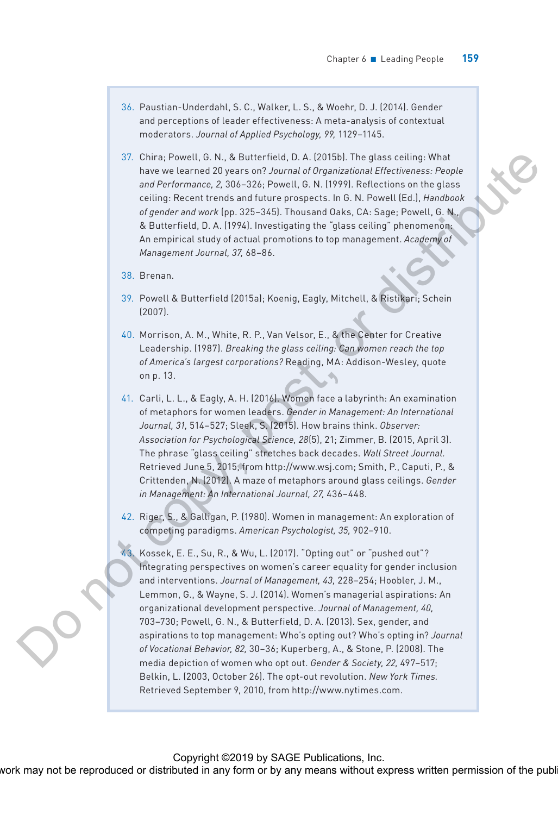- 36. Paustian-Underdahl, S. C., Walker, L. S., & Woehr, D. J. (2014). Gender and perceptions of leader effectiveness: A meta-analysis of contextual moderators. *Journal of Applied Psychology, 99,* 1129–1145.
- 37. Chira; Powell, G. N., & Butterfield, D. A. (2015b). The glass ceiling: What have we learned 20 years on? *Journal of Organizational Effectiveness: People and Performance, 2,* 306–326; Powell, G. N. (1999). Reflections on the glass ceiling: Recent trends and future prospects. In G. N. Powell (Ed.), *Handbook of gender and work* (pp. 325–345). Thousand Oaks, CA: Sage; Powell, G. N., & Butterfield, D. A. (1994). Investigating the "glass ceiling" phenomenon: An empirical study of actual promotions to top management. *Academy of Management Journal, 37,* 68–86.
- 38. Brenan.
- 39. Powell & Butterfield (2015a); Koenig, Eagly, Mitchell, & Ristikari; Schein (2007).
- 40. Morrison, A. M., White, R. P., Van Velsor, E., & the Center for Creative Leadership. (1987). *Breaking the glass ceiling: Can women reach the top of America's largest corporations?* Reading, MA: Addison-Wesley, quote on p. 13.
- 41. Carli, L. L., & Eagly, A. H. (2016). Women face a labyrinth: An examination of metaphors for women leaders. *Gender in Management: An International Journal, 31,* 514–527; Sleek, S. (2015). How brains think. *Observer: Association for Psychological Science, 28*(5), 21; Zimmer, B. (2015, April 3). The phrase "glass ceiling" stretches back decades. *Wall Street Journal.* Retrieved June 5, 2015, from http://www.wsj.com; Smith, P., Caputi, P., & Crittenden, N. (2012). A maze of metaphors around glass ceilings. *Gender in Management: An International Journal, 27,* 436–448.
- 42. Riger, S., & Galligan, P. (1980). Women in management: An exploration of competing paradigms. *American Psychologist, 35,* 902–910.
- 43. Kossek, E. E., Su, R., & Wu, L. (2017). "Opting out" or "pushed out"? Integrating perspectives on women's career equality for gender inclusion and interventions. *Journal of Management, 43,* 228–254; Hoobler, J. M., Lemmon, G., & Wayne, S. J. (2014). Women's managerial aspirations: An organizational development perspective. *Journal of Management, 40,* 703–730; Powell, G. N., & Butterfield, D. A. (2013). Sex, gender, and aspirations to top management: Who's opting out? Who's opting in? *Journal of Vocational Behavior, 82,* 30–36; Kuperberg, A., & Stone, P. (2008). The media depiction of women who opt out. *Gender & Society, 22,* 497–517; Belkin, L. (2003, October 26). The opt-out revolution. *New York Times.* Retrieved September 9, 2010, from http://www.nytimes.com. The three velocity may not be repressed on distribution in a complete permission or distributed or distributed or distributed in a mean of the publisher. This was not complete control to the publisher. This was not contro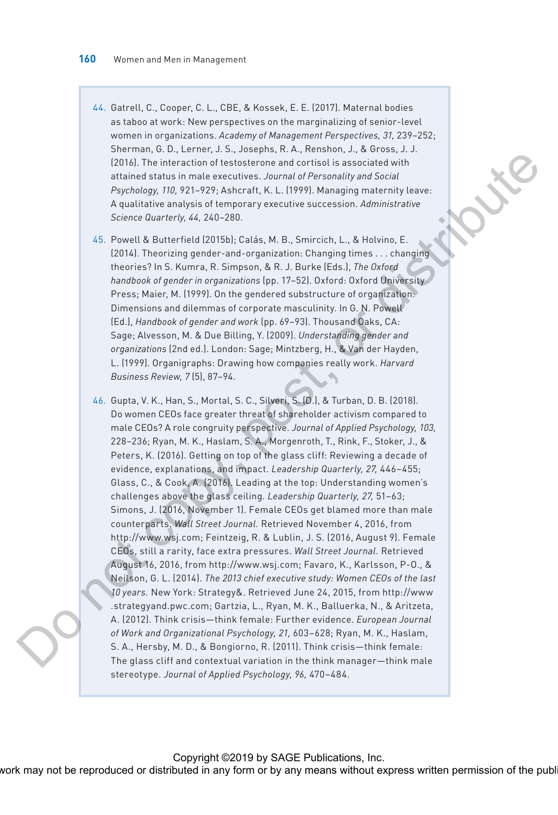- 44. Gatrell, C., Cooper, C. L., CBE, & Kossek, E. E. (2017). Maternal bodies as taboo at work: New perspectives on the marginalizing of senior-level women in organizations. *Academy of Management Perspectives, 31,* 239–252; Sherman, G. D., Lerner, J. S., Josephs, R. A., Renshon, J., & Gross, J. J. (2016). The interaction of testosterone and cortisol is associated with attained status in male executives. *Journal of Personality and Social Psychology, 110,* 921–929; Ashcraft, K. L. (1999). Managing maternity leave: A qualitative analysis of temporary executive succession. *Administrative Science Quarterly, 44,* 240–280.
- 45. Powell & Butterfield (2015b); Calás, M. B., Smircich, L., & Holvino, E. (2014). Theorizing gender-and-organization: Changing times . . . changing theories? In S. Kumra, R. Simpson, & R. J. Burke (Eds.), *The Oxford handbook of gender in organizations* (pp. 17–52). Oxford: Oxford University Press; Maier, M. (1999). On the gendered substructure of organization: Dimensions and dilemmas of corporate masculinity. In G. N. Powell (Ed.), *Handbook of gender and work* (pp. 69–93). Thousand Oaks, CA: Sage; Alvesson, M. & Due Billing, Y. (2009). *Understanding gender and organizations* (2nd ed.). London: Sage; Mintzberg, H., & Van der Hayden, L. (1999). Organigraphs: Drawing how companies really work. *Harvard Business Review, 7* (5), 87–94.
- 46. Gupta, V. K., Han, S., Mortal, S. C., Silveri, S. (D.), & Turban, D. B. (2018). Do women CEOs face greater threat of shareholder activism compared to male CEOs? A role congruity perspective. *Journal of Applied Psychology, 103,* 228–236; Ryan, M. K., Haslam, S. A., Morgenroth, T., Rink, F., Stoker, J., & Peters, K. (2016). Getting on top of the glass cliff: Reviewing a decade of evidence, explanations, and impact. *Leadership Quarterly, 27,* 446–455; Glass, C., & Cook, A. (2016). Leading at the top: Understanding women's challenges above the glass ceiling*. Leadership Quarterly, 27,* 51–63; Simons, J. (2016, November 1). Female CEOs get blamed more than male counterparts. *Wall Street Journal.* Retrieved November 4, 2016, from http://www.wsj.com; Feintzeig, R. & Lublin, J. S. (2016, August 9). Female CEOs, still a rarity, face extra pressures. *Wall Street Journal.* Retrieved August 16, 2016, from http://www.wsj.com; Favaro, K., Karlsson, P-O., & Neilson, G. L. (2014). *The 2013 chief executive study: Women CEOs of the last 10 years.* New York: Strategy&. Retrieved June 24, 2015, from http://www .strategyand.pwc.com; Gartzia, L., Ryan, M. K., Balluerka, N., & Aritzeta, A. (2012). Think crisis—think female: Further evidence. *European Journal of Work and Organizational Psychology, 21,* 603–628; Ryan, M. K., Haslam, S. A., Hersby, M. D., & Bongiorno, R. (2011). Think crisis—think female: The glass cliff and contextual variation in the think manager—think male stereotype. *Journal of Applied Psychology, 96,* 470–484. CD13. The nation of the reproduced or distributed in any form or by any means without express with the reproduced in any form or by any means with the reproduced in any form or by any form or by any form or by any form or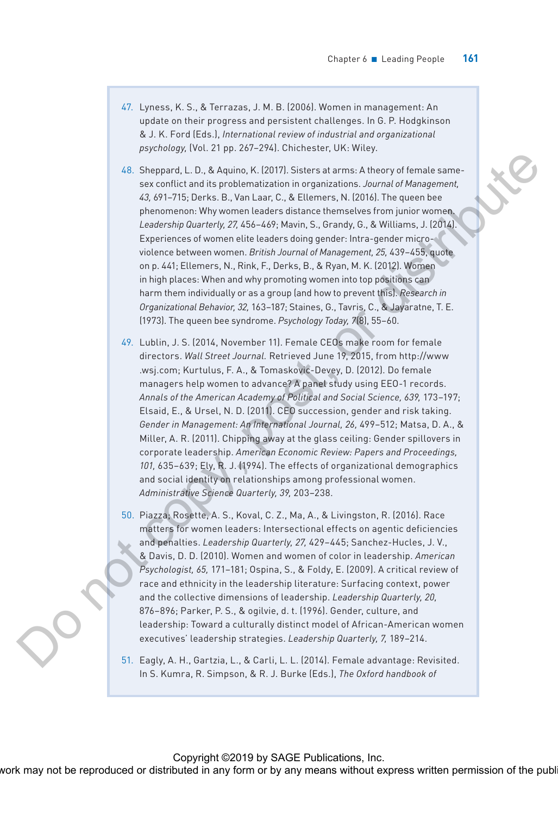- 47. Lyness, K. S., & Terrazas, J. M. B. (2006). Women in management: An update on their progress and persistent challenges. In G. P. Hodgkinson & J. K. Ford (Eds.), *International review of industrial and organizational psychology,* (Vol. 21 pp. 267–294). Chichester, UK: Wiley.
- 48. Sheppard, L. D., & Aquino, K. (2017). Sisters at arms: A theory of female samesex conflict and its problematization in organizations. *Journal of Management, 43,* 691–715; Derks. B., Van Laar, C., & Ellemers, N. (2016). The queen bee phenomenon: Why women leaders distance themselves from junior women. *Leadership Quarterly, 27,* 456–469; Mavin, S., Grandy, G., & Williams, J. (2014). Experiences of women elite leaders doing gender: Intra-gender microviolence between women. *British Journal of Management, 25,* 439–455, quote on p. 441; Ellemers, N., Rink, F., Derks, B., & Ryan, M. K. (2012). Women in high places: When and why promoting women into top positions can harm them individually or as a group (and how to prevent this). *Research in Organizational Behavior, 32,* 163–187; Staines, G., Tavris, C., & Jayaratne, T. E. (1973). The queen bee syndrome. *Psychology Today, 7*(8), 55–60. This work may not be reproduced or distributed in any form or by any form or by any form or by any form or by any means with the publisher or the publisher of the publisher of the publisher. The content of the publisher o
	- 49. Lublin, J. S. (2014, November 11). Female CEOs make room for female directors. *Wall Street Journal.* Retrieved June 19, 2015, from http://www .wsj.com; Kurtulus, F. A., & Tomaskovic-Devey, D. (2012). Do female managers help women to advance? A panel study using EEO-1 records. *Annals of the American Academy of Political and Social Science, 639,* 173–197; Elsaid, E., & Ursel, N. D. (2011). CEO succession, gender and risk taking. *Gender in Management: An International Journal, 26,* 499–512; Matsa, D. A., & Miller, A. R. (2011). Chipping away at the glass ceiling: Gender spillovers in corporate leadership. *American Economic Review: Papers and Proceedings, 101,* 635–639; Ely, R. J. (1994). The effects of organizational demographics and social identity on relationships among professional women. *Administrative Science Quarterly, 39,* 203–238.
	- 50. Piazza; Rosette, A. S., Koval, C. Z., Ma, A., & Livingston, R. (2016). Race matters for women leaders: Intersectional effects on agentic deficiencies and penalties. *Leadership Quarterly, 27,* 429–445; Sanchez-Hucles, J. V., & Davis, D. D. (2010). Women and women of color in leadership. *American Psychologist, 65,* 171–181; Ospina, S., & Foldy, E. (2009). A critical review of race and ethnicity in the leadership literature: Surfacing context, power and the collective dimensions of leadership. *Leadership Quarterly, 20,* 876–896; Parker, P. S., & ogilvie, d. t. (1996). Gender, culture, and leadership: Toward a culturally distinct model of African-American women executives' leadership strategies. *Leadership Quarterly, 7,* 189–214.
	- 51. Eagly, A. H., Gartzia, L., & Carli, L. L. (2014). Female advantage: Revisited. In S. Kumra, R. Simpson, & R. J. Burke (Eds.), *The Oxford handbook of*